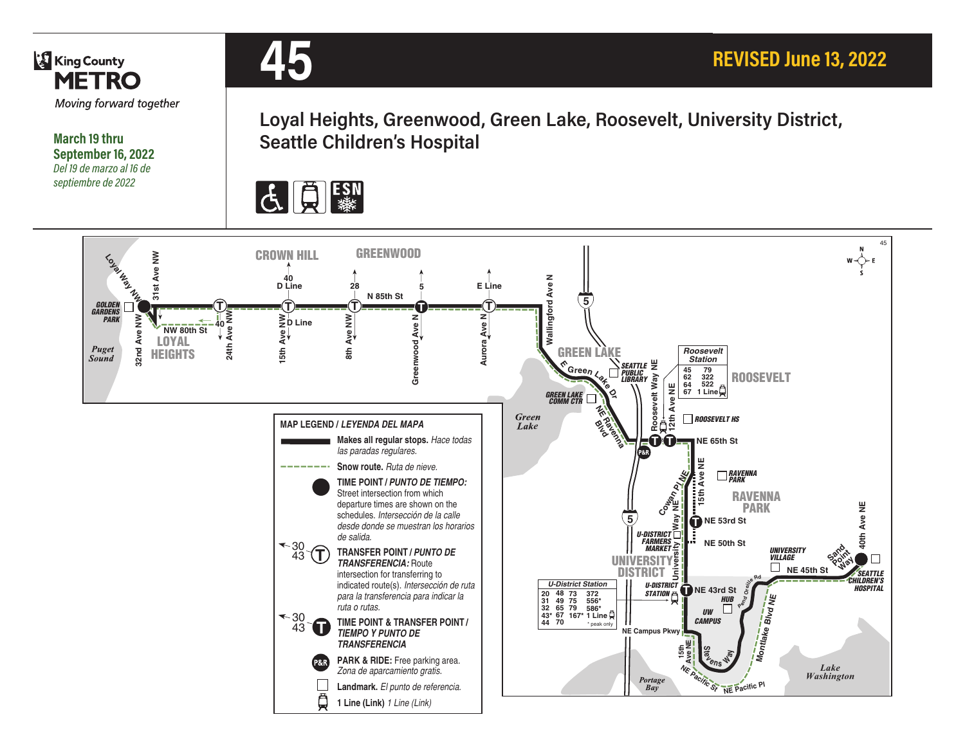

**March 19 thru September 16, 2022** *Del 19 de marzo al 16 de septiembre de 2022*



**Loyal Heights, Greenwood, Green Lake, Roosevelt, University District, Seattle Children's Hospital**



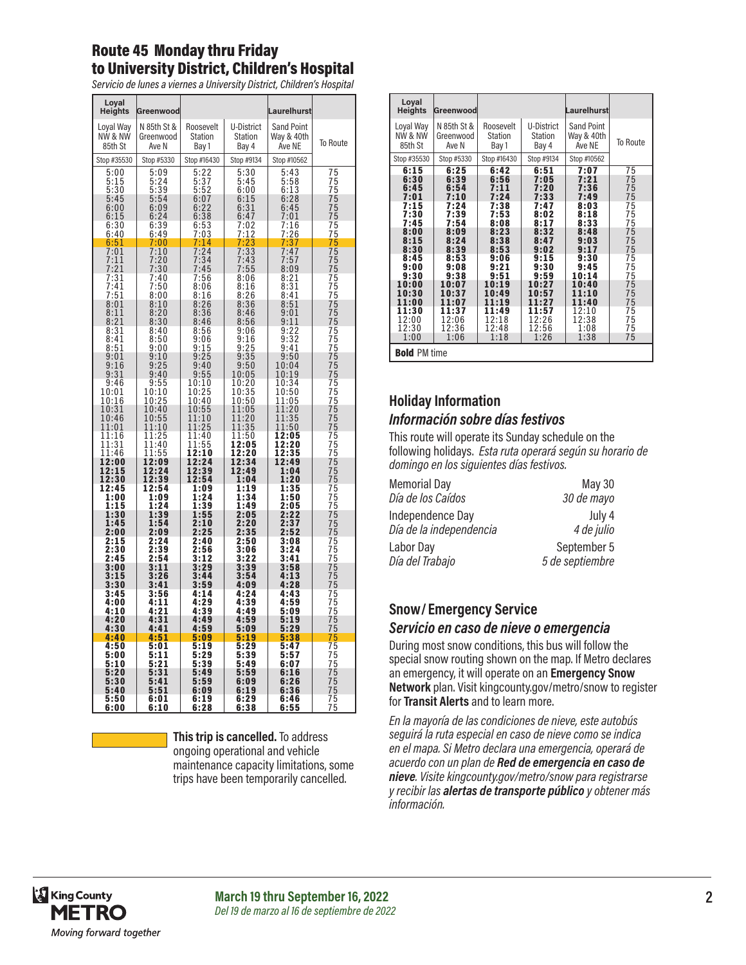## Route 45 Monday thru Friday to University District, Children's Hospital

*Servicio de lunes a viernes a University District, Children's Hospital* 

| Loyal<br><b>Heights</b>                                | Greenwood                                           |                                                  |                                             | Laurelhurst                               |                |
|--------------------------------------------------------|-----------------------------------------------------|--------------------------------------------------|---------------------------------------------|-------------------------------------------|----------------|
| Loyal Way<br><b>NW &amp; NW</b><br>85th St             | N 85th St &<br>Greenwood<br>Ave N                   | Roosevelt<br>Station<br>Bay 1                    | U-District<br>Station<br>Bay 4              | <b>Sand Point</b><br>Way & 40th<br>Ave NE | To Route       |
| Stop #35530                                            | Stop #5330                                          | Stop #16430                                      | Stop #9134                                  | Stop #10562                               |                |
| 5:00<br>5:15<br>5:30                                   | 5:09<br>5:24<br>5:39                                | 5:22<br>$5:37$<br>$5:52$<br>$6:07$               | 5:30<br>5:45<br>6:00                        | 5:43<br>5:58<br>6:13                      | 75             |
| 5:45<br>6:00<br>6:15                                   | $5:54$<br>$6:09$<br>$6:24$                          | 6:<br>22<br>6:38                                 | 6:15<br>6:31<br>6:47                        | 6:28<br>6:45<br>7:01                      | 75555575777777 |
| 6:30<br>6:40                                           | 6:39<br>6:49                                        | 6:53<br>7:03                                     | 7:02<br>:12<br>7                            | 7:16<br>7:26                              |                |
| 6:51                                                   | 7:00                                                | 7:14                                             |                                             | 37<br>7:                                  |                |
| $7:01$<br>$7:11$<br>$7:21$                             | 7:10<br>7:20<br>7:30                                | $7:24$<br>$7:34$<br>$7:45$                       | $\frac{7:23}{7:33}$<br>7:33<br>7:43<br>7:55 | 7:47<br>7:57<br>8:09                      |                |
| $7:31$<br>$7:41$<br>$7:51$<br>0.01<br>8:01             | $7:40$<br>$7:50$<br>$8:00$                          | $7:56$<br>8:06<br>$8:16$<br>$8:26$<br>$8:36$     | 8:06<br>$8:16$<br>$8:26$<br>$8:36$          | 8:21<br>8:31<br>8:41<br>8:51              |                |
| 8:11<br>8:21<br>8:31                                   | $8:10$<br>$8:20$<br>8:30                            | 8:46<br>8:56                                     | 8:46<br>8:56<br>9:06                        | 9:01<br>9:11                              |                |
| 8:41<br>8:51                                           | 8:40<br>$\frac{8:50}{9:00}$                         | 9:06<br>9:15                                     | $9:16$<br>$9:25$<br>$9:35$                  | $\frac{9:22}{9:32}$<br>9:41               |                |
| 9:01<br>9:16<br>9:31                                   | 9:10<br>9:25<br>9:40                                | 9:25<br>$9:40$<br>$9:55$                         | 9:50<br>10:05                               | 9:50<br>10:04<br>10:19                    |                |
| 9:46<br>10:01<br>10:16                                 | 9:55<br>10:10<br>10:25                              | 10:10<br>10:25<br>10:40                          | 10:20<br>10:35<br>10:50                     | 10:34<br>10:50<br>11:05                   |                |
| 10:31<br>10:46<br>11:01                                | 10:40<br>$0:55$<br>$1:10$<br>10<br>1                | 10:55<br>1:<br>10<br>1<br>1:25<br>$\overline{1}$ | 11:05<br>$\bar{1}\bar{1}:20$<br>$11:35$     | 11:20<br>11:35<br>11:<br>50               |                |
| $\begin{array}{c} 11:16 \\ 11:31 \end{array}$<br>11:46 | $\frac{1:25}{1:40}$<br>1<br>$\overline{1}$<br>11:55 | $\frac{1:40}{1:55}$<br>1<br>1<br>12:10           | $\overline{11:50}$<br>12:05<br>12:20        | 12:05<br>12:20<br>12:35<br>12:49          |                |
| 12:00<br>12:15<br>12:30                                | 12:09<br>12:24<br>12:39                             | 12:24<br>12:39<br>$\bar{1}$ 2:54                 | 12:34<br>12:49<br>1:04                      | 1:04<br>1:20                              |                |
| 12:45<br>1:00<br>1:15                                  | $\overline{1}$ 2:54<br>1:09<br>1:24                 | 1:09<br>1:24                                     | 1:19<br>1:34<br>1:49                        | 1:35<br>1:50<br>2:05                      |                |
| 1:30<br>1:45<br>2:00                                   | 1:39<br>1:54<br>2:09                                | $\frac{1:39}{1:55}$<br>2:10<br>2:25              | 2:05<br>2:20<br>2:35                        | $\frac{2:22}{2:37}$<br>2:52               |                |
| 2:15<br>2:30<br>2:45                                   | 2:24<br>2:39<br>2:54                                | 2:40<br>2:56<br>3:12                             | 2:50<br>3:06<br>3:22                        | 3:08<br>3:24<br>3:41                      |                |
| 3:00<br>3:15<br>3:30                                   | 3:11<br>3:26<br>3:41                                | 3:29<br>3:44<br>3:59                             | 3:39<br>3:54<br>4:09                        | 3:58<br>4:13<br>4:28                      |                |
| 3:45<br>4:00<br>4:10                                   | 3:56<br>4:11<br>4:21                                | 4:14<br>4:29<br>4:39                             | 4:24<br>4:39<br>4:49                        | 4:43<br>4:59<br>5:09                      |                |
| 4:20<br>4:30                                           | 4:31<br>4:41                                        | 4:49<br>4:59                                     | 4:59<br>5:09                                | 5:19<br>5:29                              |                |
| 4:40<br>4:50                                           | 4:51<br>5:01                                        | 5:09<br>5:19                                     | 5:19<br>5:29                                | 5:38<br>:47<br>5                          |                |
| 5:00<br>5:10<br>5:20                                   | 5:11<br>5:21<br>5:31                                | 5:29<br>5:39<br>5:49                             | 5:39<br>5:49<br>5:59                        | 5:57<br>6:07<br>6:16                      |                |
| 5:30<br>5:40<br>5:50                                   | 5:41<br>5:51<br>6:01                                | 5:59<br>6:09<br>6:19                             | 6:09<br>6:19<br>6:29                        | 6:26<br>6:36<br>6:46                      | 7777777777777  |
| 6:00                                                   | 6:10                                                | 6:28                                             | 6:38                                        | 6:55                                      |                |

**This trip is cancelled.** To address ongoing operational and vehicle maintenance capacity limitations, some trips have been temporarily cancelled.

| Loyal<br><b>Heights</b>                                                                                                                                            | Greenwood                                                                                                                                                          |                                                                                                                                                                    |                                                                                                                                                                    | Laurelhurst                                                                                                                                                        |                                                                                                                      |
|--------------------------------------------------------------------------------------------------------------------------------------------------------------------|--------------------------------------------------------------------------------------------------------------------------------------------------------------------|--------------------------------------------------------------------------------------------------------------------------------------------------------------------|--------------------------------------------------------------------------------------------------------------------------------------------------------------------|--------------------------------------------------------------------------------------------------------------------------------------------------------------------|----------------------------------------------------------------------------------------------------------------------|
| Loyal Way<br>NW & NW<br>85th St                                                                                                                                    | N 85th St &<br>Greenwood<br>Ave N                                                                                                                                  | Roosevelt<br>Station<br>Bay 1                                                                                                                                      | U-District<br><b>Station</b><br>Bay 4                                                                                                                              | <b>Sand Point</b><br>Way & 40th<br>Ave NE                                                                                                                          | <b>To Route</b>                                                                                                      |
| Stop #35530                                                                                                                                                        | Stop #5330                                                                                                                                                         | Stop #16430                                                                                                                                                        | Stop #9134                                                                                                                                                         | Stop #10562                                                                                                                                                        |                                                                                                                      |
| 6:15<br>6:30<br>6:45<br>7:01<br>7:15<br>7:30<br>7:45<br>8:00<br>8:15<br>8:30<br>8:45<br>9:00<br>9:30<br>10:00<br>10:30<br>11:00<br>11:30<br>12:00<br>12:30<br>1:00 | 6:25<br>6:39<br>6:54<br>7:10<br>7:24<br>7:39<br>7:54<br>8:09<br>8:24<br>8:39<br>8:53<br>9:08<br>9:38<br>10:07<br>10:37<br>11:07<br>11:37<br>12:06<br>12:36<br>1:06 | 6:42<br>6:56<br>7:11<br>7:24<br>7:38<br>7:53<br>8:08<br>8:23<br>8:38<br>8:53<br>9:06<br>9:21<br>9:51<br>10:19<br>10:49<br>11:19<br>11:49<br>12:18<br>12:48<br>1:18 | 6:51<br>7:05<br>7:20<br>7:33<br>7:47<br>8:02<br>8:17<br>8:32<br>8:47<br>9:02<br>9:15<br>9:30<br>9:59<br>10:27<br>10:57<br>11:27<br>11:57<br>12:26<br>12:56<br>1:26 | 7:07<br>7:21<br>7:36<br>7:49<br>8:03<br>8:18<br>8:33<br>8:48<br>9:03<br>9:17<br>9:30<br>9:45<br>10:14<br>10:40<br>11:10<br>11:40<br>12:10<br>12:38<br>1:08<br>1:38 | 75<br>75<br>75<br>75<br>75<br>75<br>75<br>75<br>75<br>75<br>75<br>75<br>75<br>75<br>75<br>75<br>75<br>75<br>75<br>75 |
| <b>Bold PM time</b>                                                                                                                                                |                                                                                                                                                                    |                                                                                                                                                                    |                                                                                                                                                                    |                                                                                                                                                                    |                                                                                                                      |

## **Holiday Information** *Información sobre días festivos*

This route will operate its Sunday schedule on the following holidays. *Esta ruta operará según su horario de domingo en los siguientes días festivos.*

| <b>Memorial Day</b>     | <b>May 30</b>   |
|-------------------------|-----------------|
| Día de los Caídos       | 30 de mayo      |
| Independence Day        | July 4          |
| Día de la independencia | 4 de julio      |
| Labor Day               | September 5     |
| Día del Trabajo         | 5 de septiembre |

#### **Snow/ Emergency Service**  *Servicio en caso de nieve o emergencia*

During most snow conditions, this bus will follow the special snow routing shown on the map. If Metro declares an emergency, it will operate on an **Emergency Snow Network** plan. Visit kingcounty.gov/metro/snow to register for **Transit Alerts** and to learn more.

*En la mayoría de las condiciones de nieve, este autobús seguirá la ruta especial en caso de nieve como se indica en el mapa. Si Metro declara una emergencia, operará de acuerdo con un plan de Red de emergencia en caso de nieve. Visite kingcounty.gov/metro/snow para registrarse y recibir las alertas de transporte público y obtener más información.*

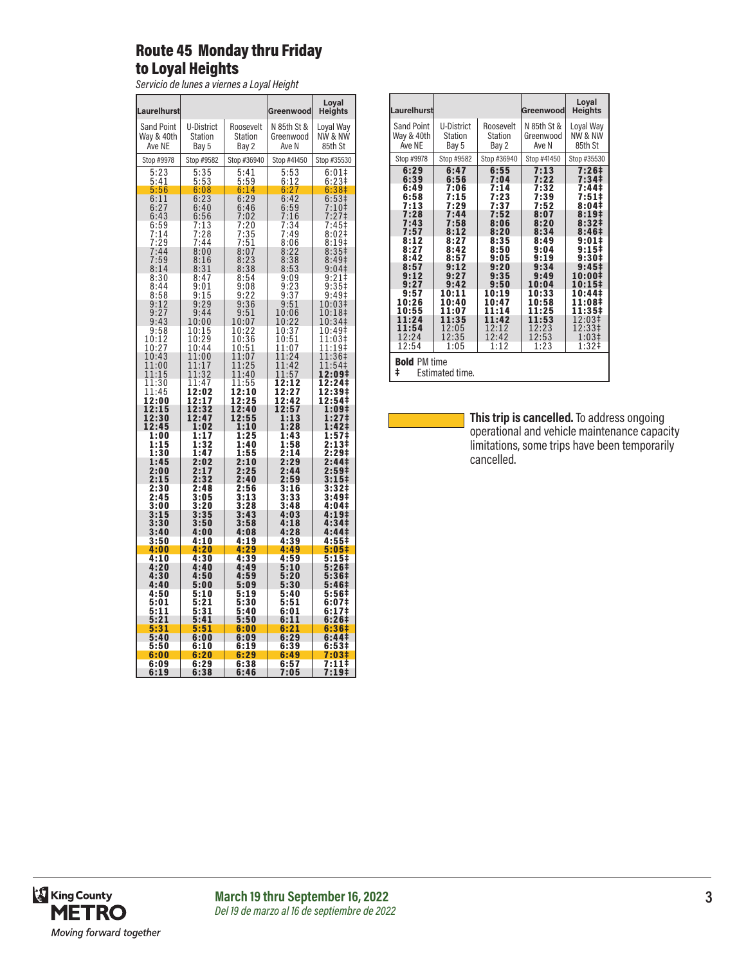# Route 45 Monday thru Friday to Loyal Heights

*Servicio de lunes a viernes a Loyal Height*

|                                                          |                            |                                                      |                                                 | Loyal                                                                                     |
|----------------------------------------------------------|----------------------------|------------------------------------------------------|-------------------------------------------------|-------------------------------------------------------------------------------------------|
| Laurelhurst                                              |                            |                                                      | Greenwood                                       | Heights                                                                                   |
| <b>Sand Point</b><br>Way & 40th                          | U-District<br>Station      | Roosevelt<br>Station                                 | N 85th St &<br>Greenwood                        | Loyal Way<br>NW & NW                                                                      |
| Ave NE                                                   | Bay 5                      | Bay 2                                                | Ave N                                           | 85th St                                                                                   |
| Stop #9978                                               | Stop #9582                 | Stop #36940                                          | Stop #41450                                     | Stop #35530                                                                               |
| $\frac{5:23}{5:41}$                                      | $\frac{5:35}{5:53}$        | 5:41<br>5:59                                         | $\frac{5:53}{6:12}$                             | 6:01<br>6:23 <sup>‡</sup>                                                                 |
|                                                          | 6:08                       | 6:14                                                 | $6:27$<br>$6:42$                                |                                                                                           |
| $5:56$<br>$6:11$<br>$6:27$<br>$6:43$<br>$6:59$<br>$7:14$ | 6:23<br>6:40               | $6:29$<br>6:46                                       | 6:59                                            | $6:38\frac{1}{6}$<br>6:53 $\frac{1}{7}:10\frac{1}{7}$<br>7:27 $\frac{1}{7}:27\frac{1}{7}$ |
|                                                          | 6:56                       |                                                      | 7:16                                            |                                                                                           |
|                                                          | 7:13                       | 7:02<br>7:20<br>7:35<br>7:51<br>8:07<br>8:23<br>8:38 | 7:34<br>7:49                                    | $7:45+$<br>$8:02$ ‡                                                                       |
|                                                          | $7:28$<br>$7:44$<br>$8:00$ |                                                      |                                                 | $\check{8}$ :<br>$8$ :<br>$\frac{1\bar{9}\ddagger}{35\ddagger}$                           |
| $7:14$<br>$7:29$<br>$7:44$<br>$7:59$<br>$9:14$           | 8:16                       |                                                      | $7.49$<br>8:06<br>8:22<br>8:38<br>8:53          | 8:49 <sup>‡</sup>                                                                         |
| 8:14                                                     | 8:31                       |                                                      |                                                 | 9:04                                                                                      |
| $\frac{8:30}{8:44}$                                      | 8:47<br>9:01               | 8:54<br>9:08                                         |                                                 | $9:21$<br>9:35‡                                                                           |
| 8:58                                                     | 9:15                       | $9:22$<br>$9:36$<br>$9:51$                           | $9:09$<br>$9:23$<br>$9:37$<br>$9:51$<br>$10:06$ | 9:49‡                                                                                     |
| $9:12$<br>$9:27$                                         | 9:29<br>9:44               |                                                      |                                                 | 10:03‡<br>10:<br>18‡                                                                      |
| 9:43                                                     | 10:00                      | 10:07                                                |                                                 | 34‡<br>10:                                                                                |
| $9:58$<br>10:12<br>10:27                                 | 10:15<br>10:29             | 10:22<br>10:36                                       | $10:22$<br>$10:37$<br>$10:51$                   | 10:49‡<br>1<br>1:03‡                                                                      |
|                                                          | 10:44                      | 10:51                                                | 11:07                                           | 1:19‡<br>1                                                                                |
| 10:43<br>11:00                                           | :00<br>1<br>1<br>11:17     | 11:07<br>11:25                                       | 1:24<br>1<br>11:42                              | 1:36‡<br>1<br>11:<br>54‡                                                                  |
| 1:15<br>1                                                | 11:3<br>$\overline{2}$     | 1:40<br>1                                            | 11:57                                           | 1<br>2:09‡                                                                                |
| 1:30<br>1<br>1:45<br>1                                   | 11:47                      | 11:55                                                | 12:12<br>12:27<br>12:42                         | 12:24‡<br>12:39‡<br>12:54‡                                                                |
| 12:00                                                    | 12:02<br>12:17             | 12:10<br>12:25                                       |                                                 |                                                                                           |
| 12:15<br>12:30                                           | 12:32<br>12:47             | 12:40<br>12:55                                       | 12:57<br>1:13                                   | 1:09‡<br>1:27‡                                                                            |
| 12:45<br>1:00                                            | 1:02<br>1:17               | 1:10<br>1:25                                         | 1:28<br>1:4<br>3                                | 1:42‡                                                                                     |
| 1:15                                                     | 1:32                       | 1:40                                                 | 1:58                                            | 1:57‡<br>2:13‡                                                                            |
| 1:30<br>1:45                                             | 1:47<br>2:02               | 1:55                                                 | 2:14<br>2:29                                    | 2:29‡<br>2:441                                                                            |
| 2:00                                                     | 2:17                       | $\frac{2:10}{2:25}$                                  | 2:44                                            | 2:59‡                                                                                     |
| 2:15<br>2:30                                             | 2:32<br>2:48               | 2:40<br>2:56                                         | 2:59<br>3:16                                    | $3:15$ ‡<br>3:32‡                                                                         |
| 2:45                                                     | $3:05$<br>$3:20$           | 3:13<br>3:28                                         | 3:33<br>3:48                                    | 3:49‡                                                                                     |
| 3:00<br>3:15                                             | 3:35                       | 3:43                                                 | 4:03                                            | 4:04‡<br>4:19‡                                                                            |
| 3:30                                                     | 3:50                       | 3:58                                                 | 4:18                                            | 4:34‡                                                                                     |
| 3:40<br>3:50                                             | 4:00<br>4:10               | 4:08<br>4:19                                         | 4:28<br>4:39                                    | 4:44‡<br>4:55‡                                                                            |
| 4:00                                                     | 4:20                       | 4:29                                                 | 4:49                                            | 5:05‡                                                                                     |
| 4:10<br>4:20                                             | 4:30<br>4:40               | 4:39<br>4:49                                         | 4:59<br>5:10                                    | 5:15‡<br>5:26‡                                                                            |
| 4:30                                                     | 4:50                       | 4:59                                                 | 5:20                                            | 5:36#                                                                                     |
| 4:40<br>4:50                                             | 5:00<br>5:10               | 5:09<br>5:19                                         | 5:30<br>5:40                                    | 5:46‡<br>5:56‡                                                                            |
| 5:01                                                     | 5:21                       | 5:30                                                 | 5:51                                            | 6:07‡                                                                                     |
| 5:11<br>5:21                                             | 5:31<br>5:41               | 5:40<br>5:50                                         | 6:01<br>1<br>6:1                                | 6:17‡<br>6:26#                                                                            |
| 5:31                                                     | 5:51                       | 6:00                                                 | 6:21                                            | 6:36‡                                                                                     |
| 5:40<br>5:50                                             | 6:00<br>6:10               | 6:09<br>6:19                                         | 6:29<br>6:39                                    | 6:44‡<br>6:53‡                                                                            |
| 6:00                                                     | 6:20                       | 6:29                                                 | 6:49                                            | 3‡<br>7:0                                                                                 |
| 6:09<br>6:19                                             | 6:29<br>6:38               | 6:38<br>6:46                                         | 6:57<br>7:05                                    | 7:11‡<br><u>7:19‡</u>                                                                     |

| Laurelhurst                                 |            |             | Greenwood   | Loyal<br><b>Heights</b> |  |  |
|---------------------------------------------|------------|-------------|-------------|-------------------------|--|--|
| <b>Sand Point</b>                           | U-District | Roosevelt   | N 85th St & | Loyal Way               |  |  |
| Way & 40th                                  | Station    | Station     | Greenwood   | NW & NW                 |  |  |
| Ave NE                                      | Bay 5      | Bay 2       | Ave N       | 85th St                 |  |  |
| Stop #9978                                  | Stop #9582 | Stop #36940 | Stop #41450 | Stop #35530             |  |  |
| 6:29                                        | 6:47       | 6:55        | 7:13        | 7:26‡                   |  |  |
| 6:39                                        | 6:56       | 7:04        | 7:22        | 7:34‡                   |  |  |
| 6:49                                        | 7:06       | 7:14        | 7:32        | 7:44‡                   |  |  |
| 6:58                                        | 7:15       | 7:23        | 7:39        | $7:51\pm$               |  |  |
| 7:13                                        | 7:29       | 7:37        | 7:52        | 8:04‡                   |  |  |
| 7:28                                        | 7:44       | 7:52        | 8:07        | 8:19‡                   |  |  |
| 7:43                                        | 7:58       | 8:06        | 8:20        | 8:32‡                   |  |  |
| 7:57                                        | 8:12       | 8:20        | 8:34        | 8:46#                   |  |  |
| 8:12                                        | 8:27       | 8:35        | 8:49        | $9:01\pm$               |  |  |
| 8:27                                        | 8:42       | 8:50        | 9:04        | $9:15^{\ddagger}$       |  |  |
| 8:42                                        | 8:57       | 9:05        | 9:19        | 9:30#                   |  |  |
| 8:57                                        | 9:12       | 9:20        | 9:34        | 9:451                   |  |  |
| 9:12                                        | 9:27       | 9:35        | 9:49        | 10:00‡                  |  |  |
| 9:27                                        | 9:42       | 9:50        | 10:04       | 10:15‡                  |  |  |
| 9:57                                        | 10:11      | 10:19       | 10:33       | 10:44‡                  |  |  |
| 10:26                                       | 10:40      | 10:47       | 10:58       | 11:08‡                  |  |  |
| 10:55                                       | 11:07      | 11:14       | 11:25       | 11:35‡                  |  |  |
| 11:24                                       | 11:35      | 11:42       | 11:53       | 12:03‡                  |  |  |
| 11:54                                       | 12:05      | 12:12       | 12:23       | 12:33‡                  |  |  |
| 12:24                                       | 12:35      | 12:42       | 12:53       | 1:03 <sup>‡</sup>       |  |  |
| 12:54                                       | 1:05       | 1:12        | 1:23        | 1:32 <sup>†</sup>       |  |  |
| <b>Bold PM time</b><br>ŧ<br>Estimated time. |            |             |             |                         |  |  |

**This trip is cancelled.** To address ongoing operational and vehicle maintenance capacity limitations, some trips have been temporarily cancelled.

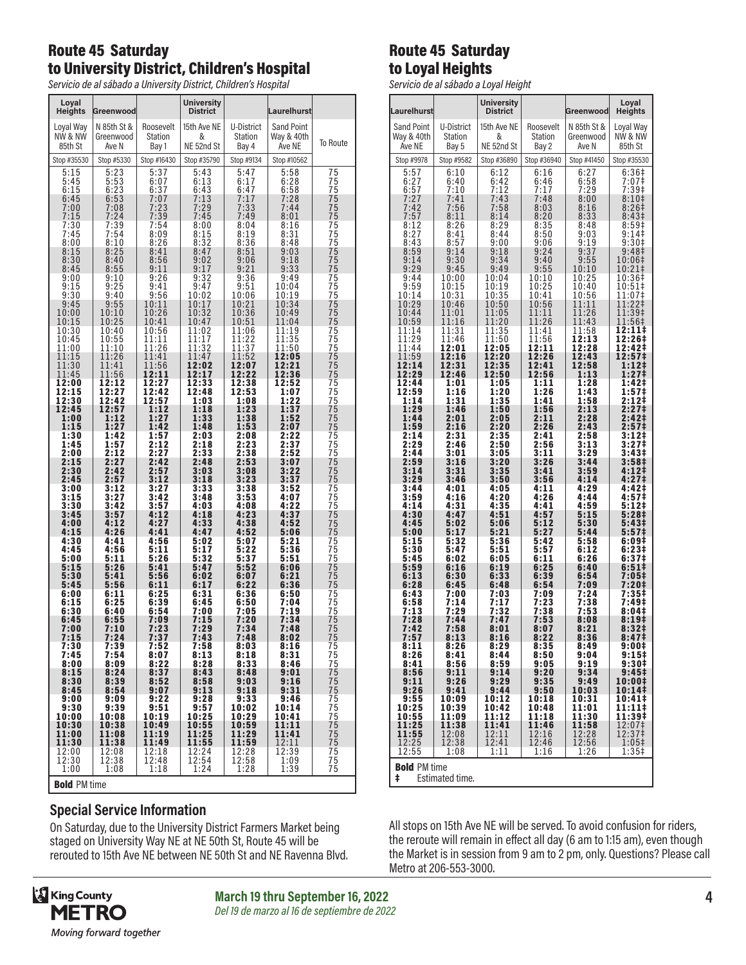### Route 45 Saturday to University District, Children's Hospital

*Servicio de al sábado a University District, Children's Hospital*

| Loyal<br>Heights                | Greenwood                         |                                              | <b>University</b><br><b>District</b> |                                              | Laurelhurst                               |                             |
|---------------------------------|-----------------------------------|----------------------------------------------|--------------------------------------|----------------------------------------------|-------------------------------------------|-----------------------------|
| Loval Wav<br>NW & NW<br>85th St | N 85th St &<br>Greenwood<br>Ave N | Roosevelt<br>Station<br>Bay 1                | 15th Ave NE<br>&<br>NE 52nd St       | U-District<br>Station<br>Bay 4               | <b>Sand Point</b><br>Way & 40th<br>Ave NE | To Route                    |
| Stop #35530                     | Stop #5330                        | Stop #16430                                  | Stop #35790                          | Stop #9134                                   | Stop #10562                               |                             |
| 5:15<br>5:45<br>6:15<br>6:45    | 5:23<br>5:53<br>6:23<br>6:53      | 5:37<br>6:07<br>6:37<br>7:07                 | 5:43<br>6:13<br>6:43<br>7:13         | 5:47<br>6:17<br>6:47<br>7:17                 | 5:58<br>6:28<br>6:58<br>7:28              | 75<br>75                    |
| 7:00<br>7:15<br>7:30            | 7:08<br>7:24<br>7:39              | 7:23<br>7:39<br>7:54                         | 7:29<br>7:45<br>8:00                 | 7:33<br>7:49<br>8:04                         | 7:44<br>8:01<br>8:16                      | 75<br>75<br>75<br>75<br>75  |
| 7:45<br>8:00<br>8:15            | 7:54<br>8:10<br>8:25              | 8:09<br>8:26                                 | 8:15<br>8:32<br>8:47                 | 8:19<br>8:36                                 | 8:31<br>8:48<br>9:03                      | 75<br>75                    |
| 8:30<br>8:45<br>9:00            | 8:40<br>8:55<br>9:10              | 8:41<br>8:56<br>9:11<br>9:26                 | 9:02<br>9:17                         | 8:51<br>9:06<br>9:21<br>9:36                 | 9:18<br>9:33<br>9:49                      | $\frac{75}{75}$             |
| 9:15<br>9:30<br>9:45            | 9:25<br>9:40<br>9:55              | 9:41<br>9:56<br>10:11                        | $9:32$<br>$9:47$<br>10:02<br>10:17   | 9:51<br>10:06<br>10:21                       | 10:04<br>10:19<br>10:34                   | 75<br>75<br>75              |
| 10:00<br>10:15<br>10:30         | 10:10<br>10:25<br>10:40           | 10:26<br>10:41<br>10:56                      | 10:32<br>10:47<br>11:02              | 10:36<br>10:51<br>11:06                      | 10:49<br>11:04<br>11:19                   | $\frac{75}{75}$<br>75<br>75 |
| 10:45<br>11:00<br>11:15         | 10:55<br>11:10<br>11:26           | 11:11<br>11:26<br>11:41                      | 11:17<br>11:32<br>11:47              | 11:22<br>11:37<br>11:52                      | 11:35<br>11:50<br>12:05                   | 75<br>75<br>75              |
| 11:30<br>11:45<br>12:00         | 11:41<br>11:56<br>12:12           | 11:56<br>12:11<br>12:27                      | 12:02<br>12:17<br>12:33              | 12:07<br>12:22<br>12:38                      | 12:21<br>12:36<br>12:52                   | 75<br>75<br>75              |
| 12:15<br>12:30                  | 12:27<br>12:42                    | 12:42<br>12:57<br>1:12                       | 12:48<br>1:03<br>1:18                | 12:53<br>1:08                                | 1:07<br>1:22<br>1:37                      | 75<br>75                    |
| 12:45<br>1:00<br>1:15<br>1:30   | 12:57<br>1:12<br>1:27<br>1:42     | 1:27<br>1:42                                 | 1:33<br>1:48<br>2:03                 | 1:23<br>1:38<br>1:53<br>2:08                 | 1:52<br>2:07<br>2:22                      | 75<br>75<br>75              |
| 1:45<br>2:00<br>2:15            | 1:57<br>2:12                      | 1:57<br>2:12<br>2:27<br>2:42                 | 2:18<br>2:33<br>2:48                 | 2:23<br>2:38<br>2:53                         | 2:37<br>2:52                              | 75<br>75<br>75<br>75        |
| 2:30<br>2:45<br>3:00            | 2:27<br>2:42<br>2:57<br>3:12      | 2:57<br>3:12<br>3:27                         | 3:03<br>3:18<br>3:33                 | 3:08<br>3:23<br>3:38                         | 3:07<br>3:22<br>3:37<br>3:52              | 75<br>75<br>75              |
| 3:15<br>3:30<br>3:45            | 3:27<br>3:42<br>3:57              | 3:42<br>3:57<br>4:12                         | 3:48<br>4:03<br>4:18                 | 3:53<br>4:08<br>4:23                         | 4:07<br>4:22<br>4:37                      | 75<br>75<br>75              |
| 4:00<br>4:15<br>4:30            | 4:12<br>4:26<br>4:41              | 4:27<br>4:41<br>4:56                         | 4:33<br>4:47<br>5:02                 | 4:38<br>4:52<br>5:07                         | 4:52<br>5:06<br>5:21                      | $\frac{75}{75}$             |
| 4:45<br>5:00<br>5:15            | 4:56<br>5:11<br>5:26              | 5:11<br>5:26<br>5:41                         | 5:17<br>5:32<br>5:47                 | 5:22<br>5:37<br>5:52                         | 5:36<br>5:51<br>6:06                      | 75<br>75<br>75              |
| 5:30<br>5:45<br>6:00            | 5:41<br>5:56<br>6:11              | 5:56<br>6:11<br>6:25                         | 6:02<br>6:17<br>6:31                 | 6:07<br>6:22<br>6:36                         | 6:21<br>6:36<br>6:50                      | 75<br>75<br>75<br>75        |
| 6:15<br>6:30<br>6:45            | 6:25<br>6:40<br>6:55              | 6:39<br>6:54<br>7:09                         | 6:45<br>7:00<br>7:15                 | 6:50<br>7:05<br>7:20                         | 7:04<br>7:19<br>7:34                      | 75<br>75<br>75              |
| 7:00<br>7:15<br>7:30            | 7:10<br>7:24<br>7:39              | 7:23<br>7:37<br>7:52                         | 7:29<br>7:43<br>7:58                 | 7:34<br>7:48<br>8:03                         | 7:48<br>8:02<br>8:16                      | 75<br>75<br>75              |
| 7:45<br>8:00<br>8:15            | 7:54<br>8:09<br>8:24              | 8:07<br>8:22                                 | 8:13<br>8:28<br>8:43                 | 8:18<br>8:33<br>8:48                         | 8:31<br>8:46<br>9:01                      | $\frac{75}{75}$             |
| 8:30<br>8:45<br>9:00            | 8:39<br>8:54<br>9:09              | $8:37$<br>$8:52$<br>9:07<br>9:22             | 8:58<br>9:13<br>9:28                 | 9:03<br>9:18<br>9:33                         | 9:16<br>9:31<br>9:46                      | $\frac{75}{75}$             |
| 9:30<br>10:00<br>10:30          | 9:39<br>10:08<br>10:38            | 9:51<br>10:19<br>10:49                       | 9:57<br>10:25<br>10:55               | 10:02<br>10:29<br>10:59                      | 10:14<br>10:41<br>11:11                   | $\frac{75}{75}$<br>75<br>75 |
| 11:00<br>11:30<br>12:00         | 11:08<br>11:38<br>12:08           | 11:19<br>11:49<br>12:18                      | 11:25<br>11:55<br>12:24              | 11:29<br>11:59<br>12:28                      | 11:41<br>12:11<br>12:39                   | $\frac{75}{75}$             |
| 12:30<br>1:00                   | 12:38<br>1:08                     | $\begin{array}{c} 12:48 \\ 1:18 \end{array}$ | $\frac{12:54}{1:24}$                 | $\begin{array}{c} 12:58 \\ 1:28 \end{array}$ | 1:09<br>1:39                              | $\overline{75}$<br>75       |

| Bold PM time

#### **Special Service Information**

On Saturday, due to the University District Farmers Market being staged on University Way NE at NE 50th St, Route 45 will be rerouted to 15th Ave NE between NE 50th St and NE Ravenna Blvd.



**March 19 thru September 16, 2022 4** *Del 19 de marzo al 16 de septiembre de 2022*

# Route 45 Saturday to Loyal Heights

*Servicio de al sábado a Loyal Height*

| Laurelhurst          |                | <b>University</b><br>District |                  | <b>Greenwood</b> | Loyal<br><b>Heights</b> |
|----------------------|----------------|-------------------------------|------------------|------------------|-------------------------|
| <b>Sand Point</b>    | U-District     | 15th Ave NE                   | Roosevelt        | N 85th St &      | Loyal Way               |
| Way & 40th           | <b>Station</b> | &                             | Station          | Greenwood        | NW & NW                 |
| Ave NE               | Bay 5          | NE 52nd St                    | Bay 2            | Ave N            | 85th St                 |
| Stop #9978           | Stop #9582     | Stop #36890                   | Stop #36940      | Stop #41450      | Stop #35530             |
| 5:57                 | 6:10           | 6:12                          | 6:16             | 6:27             | 6:36 <sup>‡</sup>       |
| 6:27                 | 6:40           | 6:42                          | 6:46             | 6:58             | $7:07$ ‡                |
| 6:57                 | 7:10           | 7:12                          | 7:17             | 7:29             | 7:39 <sup>‡</sup>       |
| 7:27                 | 7:41           | 7:43<br>7:58                  | 7:48             | 8:00             | 8:10 <sup>‡</sup>       |
| 7:42                 | 7:56           |                               | 8:03             | 8:16             | 8:26 <sup>1</sup>       |
| 7:57                 | 8:11           | 8:14                          | 8:20             | 8:33             | 8:43‡                   |
| 8:12                 | 8:26           | 8:29                          | 8:35             | 8:48             | 8:59#                   |
| 8:27                 | 8:41           | 8:44                          | 8:50             | 9:03             | $9:14$ ‡                |
| 8:43                 | 8:57           | 9:00                          | 9:06             | 9:19             | 9:30 <sup>‡</sup>       |
| 8:59                 | 9:14           | 9:18                          | 9:24             | 9:37             | 9:48 <sup>‡</sup>       |
| 9:14                 | 9:30           | 9:34                          | 9:40             | 9:55             | 10:06‡                  |
| 9:29                 | 9:45           | 9:49                          | 9:55             | 10:10            | 10:21‡                  |
| 9:44                 | 10:00          | 10:04                         | 10:10            | 10:25            | 10:36‡                  |
| 9:59                 | 10:15          | 10:19                         | 10:25            | 10:40            | 10:51‡                  |
| 10:14<br>10:29       | 10:31          | 10:35                         | 10:41<br>10:56   | 10:56<br>11:11   | 11:07‡<br>11:22‡        |
| 10:44                | 10:46<br>11:01 | 10:50<br>11:05                | 11:11            | 11:26            | $11:39+$                |
| 10:59                | 11:16          | 11:20                         | 11:26            | 11:43            | 11:56‡                  |
| 11:14                | 11:31          | $\overline{11:35}$<br>$11:50$ | 11:41            | 11:58            | 12:11‡                  |
| 11:29                | 11:46          | 12:05                         | 11:56            | 12:13            | 12:26‡                  |
| 11:44                | 12:01          |                               | 12:11            | 12:28            | 12:42‡                  |
| 11:59                | 12:16          | 12:20                         | 12:26            | 12:43            | 12:57‡                  |
| 12:14                | 12:31          | 12:35                         | 12:41            | 12:58            | 1:12‡                   |
| 12:29                | 12:46          | 12:50                         | 12:56            | 1:13             | 1:27‡                   |
| 12:44                | 1:01           | 1:05                          | 1:11             | 1:28             | 1:42‡                   |
| 12:59                | 1:16           | 1:20                          | 1:26             | 1:43             | 1:57‡                   |
| 1:14                 | 1:31           | 1:35                          | 1:41             | 1:58             | 2:12‡                   |
| 1:29                 | 1:46           | 1:50                          | 1:56             | 2:13             | 2:27‡                   |
| 1:44                 | 2:01           | 2:05                          | 2:11             | 2:28             | 2:42‡                   |
| 1:59                 | 2:16           | 2:20                          | 2:26             | 2:43             | 2:57‡                   |
| 2:14                 | 2:31           | 2:35                          | 2:41             | 2:58             | 3:12‡                   |
| 2:29                 | 2:46           | 2:50                          | 2:56             | 3:13             | 3:27‡                   |
| 2:44                 | 3:01           | 3:05                          | 3:11             | 3:29             | 3:43‡                   |
| 2:59                 | 3:16           | 3:20                          | $3:26$<br>$3:41$ | 3:44             | 3:58‡                   |
| 3:14                 | 3:31           | 3:35                          |                  | 3:59             | 4:12‡                   |
| 3:29                 | 3:46           | 3:50                          | 3:56             | 4:14             | 4:27‡                   |
| 3:44                 | 4:01           | 4:05                          | 4:11             | 4:29             | 4:42‡                   |
| 3:59                 | 4:16           | 4:20                          | 4:26             | 4:44             | 4:57‡                   |
| 4:14                 | 4:31           | 4:35                          | 4:41             | 4:59             | 5:12‡                   |
| 4:30                 | 4:47           | 4:51                          | 4:57             | 5:15             | 5:28‡                   |
| 4:45                 | 5:02           | 5:06                          | 5:12             | 5:30             | 5:43‡                   |
| 5:00                 | 5:17           | 5:21                          | 5:27             | 5:44             | 5:57‡                   |
| 5:15                 | 5:32           | 5:36                          | 5:42             | 5:58             | 6:09‡                   |
| 5:30                 | 5:47           | 5:51                          | 5:57             | 6:12             | 6:23‡                   |
| 5:45                 | 6:02           | 6:05                          | 6:11             | 6:26             | 6:37 <sup>‡</sup>       |
| 5:59                 | 6:16           | 6:19                          | 6:25             | 6:40             | 6:51‡                   |
| 6:13                 | 6:30           | 6:33                          | 6:39             | 6:54             | 7:05‡                   |
| 6:28                 | 6:45           | 6:48                          | 6:54             | 7:09             | 7:20‡                   |
| 6:43                 | 7:00           | 7:03                          | 7:09             | 7:24             | $7:35+$                 |
| 6:58                 | 7:14           | 7:17                          | 7:23             | 7:38             | 7:49‡                   |
| 7:13                 | 7:29           | 7:32                          | 7:38             | 7:53             | 8:04‡                   |
| 7:28                 | 7:44           | 7:47                          | 7:53             | 8:08             | 8:19‡                   |
| 7:42                 | 7:58           | 8:01                          | 8:07             | 8:21             | 8:32 <sup>‡</sup>       |
| 7:57                 | 8:13           | 8:16                          | 8:22             | 8:36             | 8:47‡                   |
| 8:11                 | 8:26           | 8:29                          | 8:35             | 8:49             | 9:00‡                   |
| 8:26                 | 8:41           | 8:44                          | 8:50             | 9:04             | 9:15‡                   |
| 8:41                 | 8:56           | 8:59                          | 9:05             | 9:19             | 9:30‡                   |
| 8:56                 | 9:11           | 9:14                          | 9:20             | 9:34             | 9:45 <sup>‡</sup>       |
| 9:11<br>9:26         | 9:26<br>9:41   | 9:29                          | 9:35<br>9:50     | 9:49             | 10:00‡                  |
| 9:55                 | 10:09          | 9:44<br>10:12                 | 10:18            | 10:03<br>10:31   | 10:14‡<br>10:41‡        |
| 10:25                | 10:39          | 10:42                         | 10:48            | 11:01            | 11:11‡                  |
| 10:55                | 11:09          | 11:12                         | 11:18            | 11:30            | 11:39‡                  |
| 11:25                | 11:38          | 11:41                         | 11:46            | 11:58            | $\frac{12:071}{12:371}$ |
| 11:55                | 12:08          | 12:11                         | 12:16            | 12:28            |                         |
| 12:25                | 12:38          | 12:41                         | 12:46            | 12:56            | $1:05$ ‡                |
| 12:55                | 1:08           | 1:11                          | 1:16             | 1:26             | $1:35+$                 |
| <b>Bold PM time</b>  |                |                               |                  |                  |                         |
| Estimated time.<br>ŧ |                |                               |                  |                  |                         |

All stops on 15th Ave NE will be served. To avoid confusion for riders, the reroute will remain in effect all day (6 am to 1:15 am), even though the Market is in session from 9 am to 2 pm, only. Questions? Please call Metro at 206-553-3000.